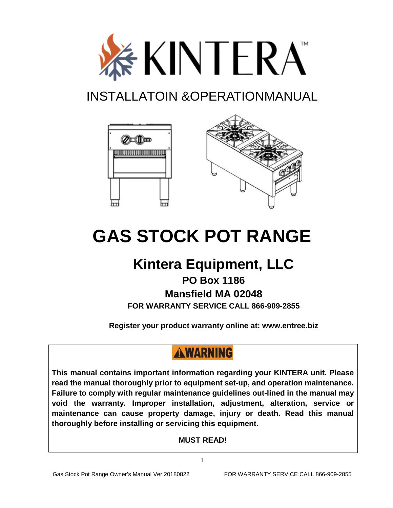

## INSTALLATOIN &OPERATIONMANUAL



## **GAS STOCK POT RANGE**

## **Kintera Equipment, LLC**

## **PO Box 1186**

## **Mansfield MA 02048**

**FOR WARRANTY SERVICE CALL 866-909-2855**

**Register your product warranty online at: www.entree.biz**

## **AWARNING**

**This manual contains important information regarding your KINTERA unit. Please read the manual thoroughly prior to equipment set-up, and operation maintenance. Failure to comply with regular maintenance guidelines out-lined in the manual may void the warranty. Improper installation, adjustment, alteration, service or maintenance can cause property damage, injury or death. Read this manual thoroughly before installing or servicing this equipment.** 

### **MUST READ!**

1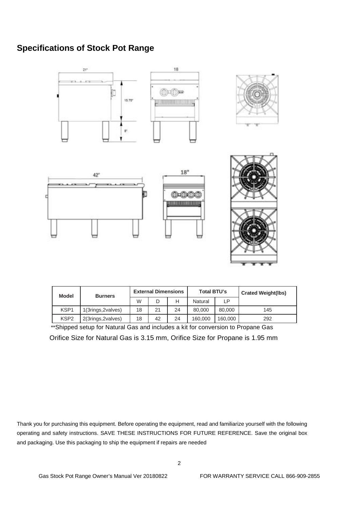## **Specifications of Stock Pot Range**



| <b>Model</b>     | <b>Burners</b>     | <b>External Dimensions</b> |    |    | Total BTU's |         | <b>Crated Weight(Ibs)</b> |
|------------------|--------------------|----------------------------|----|----|-------------|---------|---------------------------|
|                  |                    | W                          | D  | Н  | Natural     | ΙP      |                           |
| KSP1             | 1(3rings, 2valves) | 18                         | 21 | 24 | 80,000      | 80,000  | 145                       |
| KSP <sub>2</sub> | 2(3rings, 2valves) | 18                         | 42 | 24 | 160.000     | 160,000 | 292                       |

\*\*Shipped setup for Natural Gas and includes a kit for conversion to Propane Gas Orifice Size for Natural Gas is 3.15 mm, Orifice Size for Propane is 1.95 mm

Thank you for purchasing this equipment. Before operating the equipment, read and familiarize yourself with the following operating and safety instructions. SAVE THESE INSTRUCTIONS FOR FUTURE REFERENCE. Save the original box and packaging. Use this packaging to ship the equipment if repairs are needed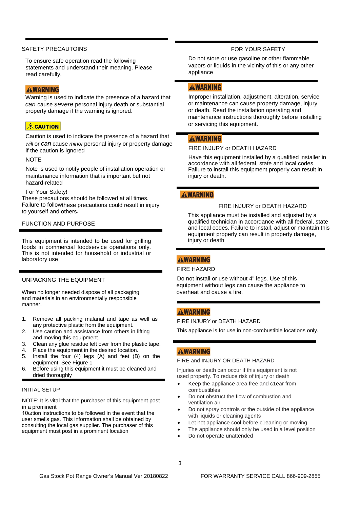### SAFETY PRECAUTOINS

To ensure safe operation read the following statements and understand their meaning. Please read carefully.

### **AWARNING**

Warning is used to indicate the presence of a hazard that *can* cause *severe* personal injury death or substantial property damage if the warning is ignored.

### $\Lambda$  CAUTION

Caution is used to indicate the presence of a hazard that *will* or *can* cause *minor* personal injury or property damage if the caution is ignored

### NOTE

Note is used to notify people of installation operation or maintenance information that is important but not hazard-related

### For Your Safety!

These precautions should be followed at all times. Failure to followthese precautions could result in injury to yourself and others.

### FUNCTION AND PURPOSE

This equipment is intended to be used for grilling foods in commercial foodservice operations only. This is not intended for household or industrial or laboratory use

### UNPACKING THE EQUIPMENT

When no longer needed dispose of all packaging and materials in an environmentally responsible manner.

- 1. Remove all packing malarial and tape as well as any protective plastic from the equipment.
- 2. Use caution and assistance from others in lifting and moving this equipment.
- 3. Clean any glue residue left over from the plastic tape.
- 4. Place the equipment in the desired location.
- 5. Install the four (4) legs (A) and feet (B) on the equipment. See Figure 1
- 6. Before using this equipment it must be cleaned and dried thoroughly

### INITIAL SETUP

NOTE: It is vital that the purchaser of this equipment post in a prominent

10ωtion instructions to be followed in the event that the user smells gas. This information shall be obtained by consulting the local gas supplier. The purchaser of this equipment must post in a prominent location

### FOR YOUR SAFETY

Do not store or use gasoline or other flammable vapors or liquids in the vicinity of this or any other appliance

### **AWARNING**

Improper installation, adjustment, alteration, service or maintenance can cause property damage, injury or death. Read the installation operating and maintenance instructions thoroughly before installing or servicing this equipment.

### **AWARNING**

### FIRE INJURY or DEATH HAZARD

Have this equipment installed by a qualified installer in accordance with all federal, state and local codes. Failure to install this equipment properly can result in injury or death.

### **AWARNING**

### FIRE INJURY or DEATH HAZARD

This appliance must be installed and adjusted by a qualified technician in accordance with all federal, state and local codes. Failure to install, adjust or maintain this equipment properly can result in property damage, injury or death

### **AWARNING**

### FIRE HAZARD

Do not install or use without 4" legs. Use of this equipment without legs can cause the appliance to overheat and cause a fire.

### **AWARNING**

### FIRE INJURY or DEATH HAZARD

This appliance is for use in non-combustible locations only.

### **AWARNING**

### FIRE and INJURY OR DEATH HAZARD

Injuries or death can occur if this equipment is not used properly. To reduce risk of injury or death

- Keep the appliance area free and c1ear from combustibles
- Do not obstruct the flow of combustion and ventilation air
- Do not spray controls or the outside of the appliance with liquids or cleaning agents
- Let hot appliance cool before c1eaning or moving
- The appliance should only be used in a level position
- Do not operate unattended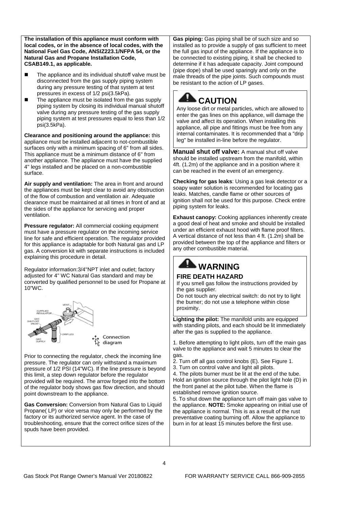**The installation of this appliance must conform with local codes, or in the absence of local codes, with the National Fuel Gas Code, ANSIZ223.1/NFPA 54, or the Natural Gas and Propane Installation Code, CSAB149.1, as applicable.**

- The appliance and its individual shutoff valve must be disconnected from the gas supply piping system during any pressure testing of that system at test pressures in excess of 1/2 psi(3.5kPa).
- $\blacksquare$  The appliance must be isolated from the gas supply piping system by closing its individual manual shutoff valve during any pressure testing of the gas supply piping system at test pressures equal to less than 1/2 psi(3.5kPa).

**Clearance and positioning around the appliance:** this appliance must be installed adjacent to not-combustible surfaces only with a minimum spacing of 6'' from all sides. This appliance must be a minimum distance of 6'' from another appliance. The appliance must have the supplied 4'' legs installed and be placed on a non-combustible surface.

**Air supply and ventilation:** The area in front and around the appliances must be kept clear to avoid any obstruction of the flow of combustion and ventilation air. Adequate clearance must be maintained at all times in front of and at the sides of the appliance for servicing and proper ventilation.

**Pressure regulator:** All commercial cooking equipment must have a pressure regulator on the incoming service line for safe and efficient operation. The regulator provided for this appliance is adaptable for both Natural gas and LP gas. A conversion kit with separate instructions is included explaining this procedure in detail.

Regulator information:3/4''NPT inlet and outlet; factory adjusted for 4'' WC Natural Gas standard and may be converted by qualified personnel to be used for Propane at 10''WC.



Prior to connecting the regulator, check the incoming line pressure. The regulator can only withstand a maximum pressure of 1/2 PSI (14''WC). If the line pressure is beyond this limit, a step down regulator before the regulator provided will be required. The arrow forged into the bottom of the regulator body shows gas flow direction, and should point downstream to the appliance.

**Gas Conversion:** Conversion from Natural Gas to Liquid Propane( LP) or vice versa may only be performed by the factory or its authorized service agent. In the case of troubleshooting, ensure that the correct orifice sizes of the spuds have been provided.

**Gas piping:** Gas piping shall be of such size and so installed as to provide a supply of gas sufficient to meet the full gas input of the appliance. If the appliance is to be connected to existing piping, it shall be checked to determine if it has adequate capacity. Joint compound (pipe dope) shall be used sparingly and only on the male threads of the pipe joints. Such compounds must be resistant to the action of LP gases.

## **CAUTION**

Any loose dirt or metal particles, which are allowed to enter the gas lines on this appliance, will damage the valve and affect its operation. When installing this appliance, all pipe and fittings must be free from any internal contaminates. It is recommended that a "drip leg" be installed in-line before the regulator.

**Manual shut off valve:** A manual shut off valve should be installed upstream from the manifold, within 4ft. (1.2m) of the appliance and in a position where it can be reached in the event of an emergency.

**Checking for gas leaks**: Using a gas leak detector or a soapy water solution is recommended for locating gas leaks. Matches, candle flame or other sources of ignition shall not be used for this purpose. Check entire piping system for leaks.

**Exhaust canopy:** Cooking appliances inherently create a good deal of heat and smoke and should be installed under an efficient exhaust hood with flame proof filters. A vertical distance of not less than 4 ft. (1.2m) shall be provided between the top of the appliance and filters or any other combustible material.

## **WARNING**

### **FIRE DEATH HAZARD**

If you smell gas follow the instructions provided by the gas supplier.

Do not touch any electrical switch: do not try to light the burner; do not use a telephone within close proximity.

**Lighting the pilot:** The manifold units are equipped with standing pilots, and each should be lit immediately after the gas is supplied to the appliance.

1. Before attempting to light pilots, turn off the main gas valve to the appliance and wait 5 minutes to clear the gas.

2. Turn off all gas control knobs (E). See Figure 1.

3. Turn on control valve and light all pilots.

4. The pilots burner must be lit at the end of the tube. Hold an ignition source through the pilot light hole (D) in the front panel at the pilot tube. When the flame is established remove ignition source.

5. To shut down the appliance turn off main gas valve to the appliance. **NOTE:** Smoke appearing on initial use of the appliance is normal. This is as a result of the rust preventative coating burning off. Allow the appliance to burn in for at least 15 minutes before the first use.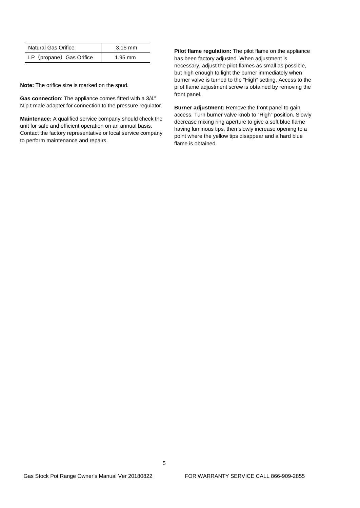| Natural Gas Orifice      | $3.15 \text{ mm}$ |  |  |  |
|--------------------------|-------------------|--|--|--|
| LP (propane) Gas Orifice | $1.95$ mm         |  |  |  |

**Note:** The orifice size is marked on the spud.

**Gas connection**: The appliance comes fitted with a 3/4'' N.p.t male adapter for connection to the pressure regulator.

**Maintenace:** A qualified service company should check the unit for safe and efficient operation on an annual basis. Contact the factory representative or local service company to perform maintenance and repairs.

**Pilot flame regulation:** The pilot flame on the appliance has been factory adjusted. When adjustment is necessary, adjust the pilot flames as small as possible, but high enough to light the burner immediately when burner valve is turned to the "High" setting. Access to the pilot flame adjustment screw is obtained by removing the front panel.

**Burner adjustment:** Remove the front panel to gain access. Turn burner valve knob to "High" position. Slowly decrease mixing ring aperture to give a soft blue flame having luminous tips, then slowly increase opening to a point where the yellow tips disappear and a hard blue flame is obtained.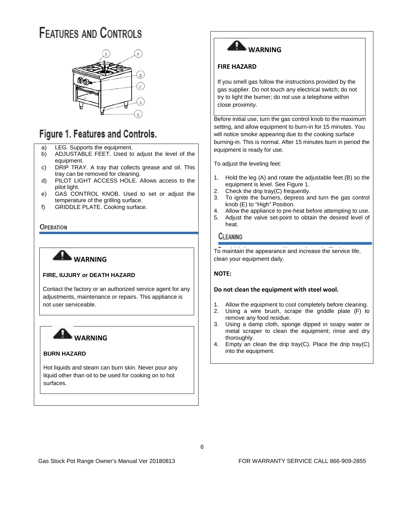## **FEATURES AND CONTROLS**



## Figure 1. Features and Controls.

- LEG. Supports the equipment.
- b) ADJUSTABLE FEET. Used to adjust the level of the equipment.
- c) DRIP TRAY. A tray that collects grease and oil. This tray can be removed for cleaning.
- d) PILOT LIGHT ACCESS HOLE. Allows access to the pilot light.
- e) GAS CONTROL KNOB. Used to set or adjust the temperature of the grilling surface.
- f) GRIDDLE PLATE. Cooking surface.

### **OPERATION**



### **FIRE, IUJURY or DEATH HAZARD**

Contact the factory or an authorized service agent for any adjustments, maintenance or repairs. This appliance is not user serviceable.



### **BURN HAZARD**

Hot liquids and steam can burn skin. Never pour any liquid other than oil to be used for cooking on to hot surfaces.



### **FIRE HAZARD**

If you smell gas follow the instructions provided by the gas supplier. Do not touch any electrical switch; do not try to light the burner; do not use a telephone within close proximity.

Before initial use, turn the gas control knob to the maximum setting, and allow equipment to burn-in for 15 minutes. You will notice smoke appearing due to the cooking surface burning-in. This is normal. After 15 minutes burn in period the equipment is ready for use.

To adjust the leveling feet:

- 1. Hold the leg (A) and rotate the adjustable feet (B) so the equipment is level. See Figure 1.
- 2. Check the drip tray(C) frequently.
- 3. To ignite the burners, depress and turn the gas control knob (E) to "High" Position.
- 4. Allow the appliance to pre-heat before attempting to use.
- 5. Adjust the valve set-point to obtain the desired level of heat.

### CLEANING

To maintain the appearance and increase the service life, clean your equipment daily.

### **NOTE:**

### **Do not clean the equipment with steel wool.**

- 1. Allow the equipment to cool completely before cleaning.
- 2. Using a wire brush, scrape the griddle plate (F) to remove any food residue.
- 3. Using a damp cloth, sponge dipped in soapy water or metal scraper to clean the equipment; rinse and dry thoroughly.
- 4. Empty an clean the drip tray(C). Place the drip tray(C) into the equipment.

6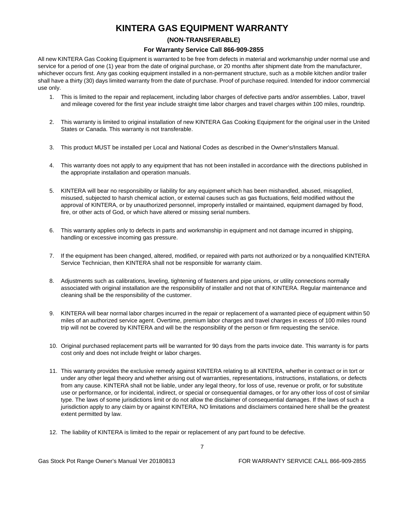## **KINTERA GAS EQUIPMENT WARRANTY**

### **(NON-TRANSFERABLE)**

### **For Warranty Service Call 866-909-2855**

All new KINTERA Gas Cooking Equipment is warranted to be free from defects in material and workmanship under normal use and service for a period of one (1) year from the date of original purchase, or 20 months after shipment date from the manufacturer, whichever occurs first. Any gas cooking equipment installed in a non-permanent structure, such as a mobile kitchen and/or trailer shall have a thirty (30) days limited warranty from the date of purchase. Proof of purchase required. Intended for indoor commercial use only.

- 1. This is limited to the repair and replacement, including labor charges of defective parts and/or assemblies. Labor, travel and mileage covered for the first year include straight time labor charges and travel charges within 100 miles, roundtrip.
- 2. This warranty is limited to original installation of new KINTERA Gas Cooking Equipment for the original user in the United States or Canada. This warranty is not transferable.
- 3. This product MUST be installed per Local and National Codes as described in the Owner's/Installers Manual.
- 4. This warranty does not apply to any equipment that has not been installed in accordance with the directions published in the appropriate installation and operation manuals.
- 5. KINTERA will bear no responsibility or liability for any equipment which has been mishandled, abused, misapplied, misused, subjected to harsh chemical action, or external causes such as gas fluctuations, field modified without the approval of KINTERA, or by unauthorized personnel, improperly installed or maintained, equipment damaged by flood, fire, or other acts of God, or which have altered or missing serial numbers.
- 6. This warranty applies only to defects in parts and workmanship in equipment and not damage incurred in shipping, handling or excessive incoming gas pressure.
- 7. If the equipment has been changed, altered, modified, or repaired with parts not authorized or by a nonqualified KINTERA Service Technician, then KINTERA shall not be responsible for warranty claim.
- 8. Adjustments such as calibrations, leveling, tightening of fasteners and pipe unions, or utility connections normally associated with original installation are the responsibility of installer and not that of KINTERA. Regular maintenance and cleaning shall be the responsibility of the customer.
- 9. KINTERA will bear normal labor charges incurred in the repair or replacement of a warranted piece of equipment within 50 miles of an authorized service agent. Overtime, premium labor charges and travel charges in excess of 100 miles round trip will not be covered by KINTERA and will be the responsibility of the person or firm requesting the service.
- 10. Original purchased replacement parts will be warranted for 90 days from the parts invoice date. This warranty is for parts cost only and does not include freight or labor charges.
- 11. This warranty provides the exclusive remedy against KINTERA relating to all KINTERA, whether in contract or in tort or under any other legal theory and whether arising out of warranties, representations, instructions, installations, or defects from any cause. KINTERA shall not be liable, under any legal theory, for loss of use, revenue or profit, or for substitute use or performance, or for incidental, indirect, or special or consequential damages, or for any other loss of cost of similar type. The laws of some jurisdictions limit or do not allow the disclaimer of consequential damages. If the laws of such a jurisdiction apply to any claim by or against KINTERA, NO limitations and disclaimers contained here shall be the greatest extent permitted by law.
- 12. The liability of KINTERA is limited to the repair or replacement of any part found to be defective.

Gas Stock Pot Range Owner's Manual Ver 20180813 FOR WARRANTY SERVICE CALL 866-909-2855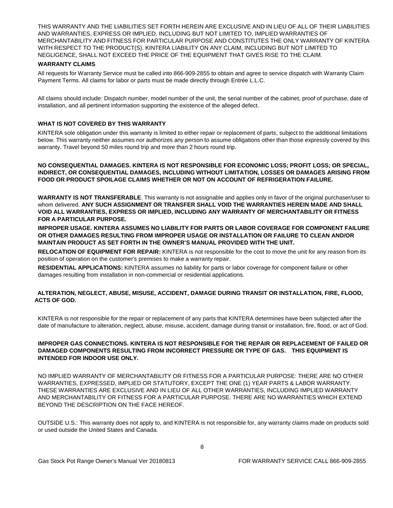THIS WARRANTY AND THE LIABILITIES SET FORTH HEREIN ARE EXCLUSIVE AND IN LIEU OF ALL OF THEIR LIABILITIES AND WARRANTIES, EXPRESS OR IMPLIED, INCLUDING BUT NOT LIMITED TO, IMPLIED WARRANTIES OF MERCHANTABILITY AND FITNESS FOR PARTICULAR PURPOSE AND CONSTITUTES THE ONLY WARRANTY OF KINTERA WITH RESPECT TO THE PRODUCT(S). KINTERA LIABILITY ON ANY CLAIM, INCLUDING BUT NOT LIMITED TO NEGLIGENCE, SHALL NOT EXCEED THE PRICE OF THE EQUIPMENT THAT GIVES RISE TO THE CLAIM.

### **WARRANTY CLAIMS**

All requests for Warranty Service must be called into 866-909-2855 to obtain and agree to service dispatch with Warranty Claim Payment Terms. All claims for labor or parts must be made directly through Entrée L.L.C.

All claims should include: Dispatch number, model number of the unit, the serial number of the cabinet, proof of purchase, date of installation, and all pertinent information supporting the existence of the alleged defect.

### **WHAT IS NOT COVERED BY THIS WARRANTY**

KINTERA sole obligation under this warranty is limited to either repair or replacement of parts, subject to the additional limitations below. This warranty neither assumes nor authorizes any person to assume obligations other than those expressly covered by this warranty. Travel beyond 50 miles round trip and more than 2 hours round trip.

### **NO CONSEQUENTIAL DAMAGES. KINTERA IS NOT RESPONSIBLE FOR ECONOMIC LOSS; PROFIT LOSS; OR SPECIAL, INDIRECT, OR CONSEQUENTIAL DAMAGES, INCLUDING WITHOUT LIMITATION, LOSSES OR DAMAGES ARISING FROM FOOD OR PRODUCT SPOILAGE CLAIMS WHETHER OR NOT ON ACCOUNT OF REFRIGERATION FAILURE.**

**WARRANTY IS NOT TRANSFERABLE**. This warranty is not assignable and applies only in favor of the original purchaser/user to whom delivered. **ANY SUCH ASSIGNMENT OR TRANSFER SHALL VOID THE WARRANTIES HEREIN MADE AND SHALL VOID ALL WARRANTIES, EXPRESS OR IMPLIED, INCLUDING ANY WARRANTY OF MERCHANTABILITY OR FITNESS FOR A PARTICULAR PURPOSE.**

**IMPROPER USAGE. KINTERA ASSUMES NO LIABILITY FOR PARTS OR LABOR COVERAGE FOR COMPONENT FAILURE OR OTHER DAMAGES RESULTING FROM IMPROPER USAGE OR INSTALLATION OR FAILURE TO CLEAN AND/OR MAINTAIN PRODUCT AS SET FORTH IN THE OWNER'S MANUAL PROVIDED WITH THE UNIT.**

**RELOCATION OF EQUIPMENT FOR REPAIR:** KINTERA is not responsible for the cost to move the unit for any reason from its position of operation on the customer's premises to make a warranty repair.

**RESIDENTIAL APPLICATIONS:** KINTERA assumes no liability for parts or labor coverage for component failure or other damages resulting from installation in non-commercial or residential applications.

### **ALTERATION, NEGLECT, ABUSE, MISUSE, ACCIDENT, DAMAGE DURING TRANSIT OR INSTALLATION, FIRE, FLOOD, ACTS OF GOD.**

KINTERA is not responsible for the repair or replacement of any parts that KINTERA determines have been subjected after the date of manufacture to alteration, neglect, abuse, misuse, accident, damage during transit or installation, fire, flood, or act of God.

### **IMPROPER GAS CONNECTIONS. KINTERA IS NOT RESPONSIBLE FOR THE REPAIR OR REPLACEMENT OF FAILED OR DAMAGED COMPONENTS RESULTING FROM INCORRECT PRESSURE OR TYPE OF GAS. THIS EQUIPMENT IS INTENDED FOR INDOOR USE ONLY.**

NO IMPLIED WARRANTY OF MERCHANTABILITY OR FITNESS FOR A PARTICULAR PURPOSE: THERE ARE NO OTHER WARRANTIES, EXPRESSED, IMPLIED OR STATUTORY, EXCEPT THE ONE (1) YEAR PARTS & LABOR WARRANTY. THESE WARRANTIES ARE EXCLUSIVE AND IN LIEU OF ALL OTHER WARRANTIES, INCLUDING IMPLIED WARRANTY AND MERCHANTABILITY OR FITNESS FOR A PARTICULAR PURPOSE. THERE ARE NO WARRANTIES WHICH EXTEND BEYOND THE DESCRIPTION ON THE FACE HEREOF.

OUTSIDE U.S.: This warranty does not apply to, and KINTERA is not responsible for, any warranty claims made on products sold or used outside the United States and Canada.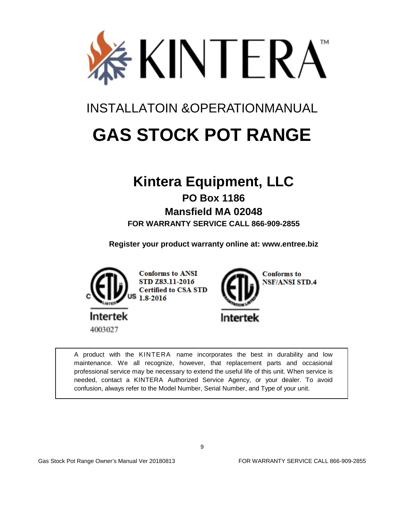

## INSTALLATOIN &OPERATIONMANUAL

# **GAS STOCK POT RANGE**

## **Kintera Equipment, LLC**

### **PO Box 1186**

**Mansfield MA 02048 FOR WARRANTY SERVICE CALL 866-909-2855**

**Register your product warranty online at: www.entree.biz**



A product with the KINTERA name incorporates the best in durability and low maintenance. We all recognize, however, that replacement parts and occasional professional service may be necessary to extend the useful life of this unit. When service is needed, contact a KINTERA Authorized Service Agency, or your dealer. To avoid confusion, always refer to the Model Number, Serial Number, and Type of your unit.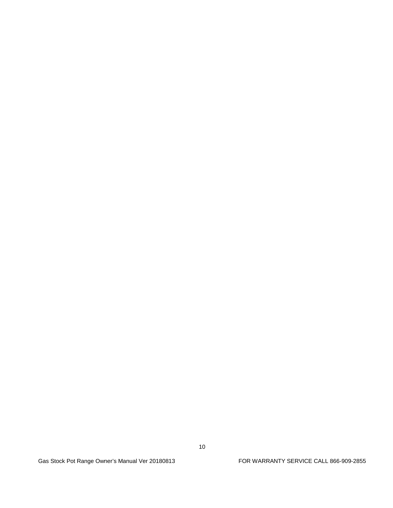Gas Stock Pot Range Owner's Manual Ver 20180813 FOR WARRANTY SERVICE CALL 866-909-2855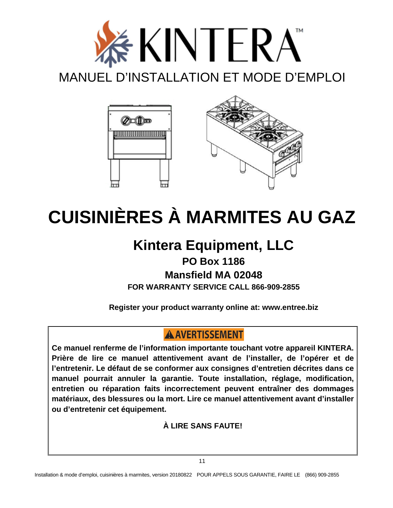# **EXINTERA** MANUEL D'INSTALLATION ET MODE D'EMPLOI



# **CUISINIÈRES À MARMITES AU GAZ**

## **Kintera Equipment, LLC PO Box 1186 Mansfield MA 02048**

**FOR WARRANTY SERVICE CALL 866-909-2855**

**Register your product warranty online at: www.entree.biz**

## **AAVERTISSEMENT**

**Ce manuel renferme de l'information importante touchant votre appareil KINTERA. Prière de lire ce manuel attentivement avant de l'installer, de l'opérer et de l'entretenir. Le défaut de se conformer aux consignes d'entretien décrites dans ce manuel pourrait annuler la garantie. Toute installation, réglage, modification, entretien ou réparation faits incorrectement peuvent entraîner des dommages matériaux, des blessures ou la mort. Lire ce manuel attentivement avant d'installer ou d'entretenir cet équipement.** 

## **À LIRE SANS FAUTE!**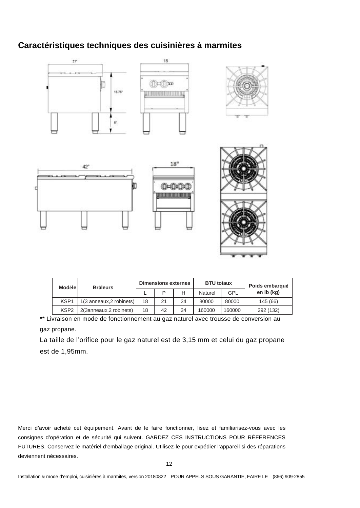## **Caractéristiques techniques des cuisinières à marmites**



| Modèle l         | <b>Brûleurs</b>          |    | <b>Dimensions externes</b> |    | <b>BTU totaux</b> |        | Poids embarqué |
|------------------|--------------------------|----|----------------------------|----|-------------------|--------|----------------|
|                  |                          |    | Þ                          | Н  | Naturel           | GPL    | en Ib (kg)     |
| KSP <sub>1</sub> | 1(3 anneaux, 2 robinets) | 18 | 21                         | 24 | 80000             | 80000  | 145 (66)       |
| KSP <sub>2</sub> | 2(3anneaux, 2 robinets)  | 18 | 42                         | 24 | 160000            | 160000 | 292 (132)      |

\*\* Livraison en mode de fonctionnement au gaz naturel avec trousse de conversion au gaz propane.

La taille de l'orifice pour le gaz naturel est de 3,15 mm et celui du gaz propane est de 1,95mm.

Merci d'avoir acheté cet équipement. Avant de le faire fonctionner, lisez et familiarisez-vous avec les consignes d'opération et de sécurité qui suivent. GARDEZ CES INSTRUCTIONS POUR RÉFÉRENCES FUTURES. Conservez le matériel d'emballage original. Utilisez-le pour expédier l'appareil si des réparations deviennent nécessaires.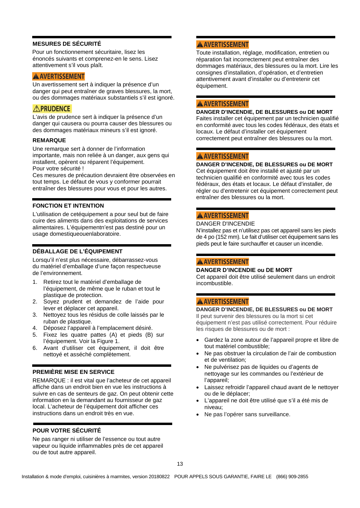### **MESURES DE SÉCURITÉ**

Pour un fonctionnement sécuritaire, lisez les énoncés suivants et comprenez-en le sens. Lisez attentivement s'il vous plaît.

### **AAVERTISSEMENT**

Un avertissement sert à indiquer la présence d'un danger qui peut entraîner de graves blessures, la mort, ou des dommages matériaux substantiels s'il est ignoré.

### **APRUDENCE**

L'avis de prudence sert à indiquer la présence d'un danger qui causera ou pourra causer des blessures ou des dommages matériaux mineurs s'il est ignoré.

### **REMARQUE**

Une remarque sert à donner de l'information importante, mais non reliée à un danger, aux gens qui installent, opèrent ou réparent l'équipement. Pour votre sécurité !

Ces mesures de précaution devraient être observées en tout temps. Le défaut de vous y conformer pourrait entraîner des blessures pour vous et pour les autres.

### **FONCTION ET INTENTION**

L'utilisation de cetéquipement a pour seul but de faire cuire des aliments dans des exploitations de services alimentaires. L'équipementn'est pas destiné pour un usage domestiqueouenlaboratoire.

### **DÉBALLAGE DE L'ÉQUIPEMENT**

Lorsqu'il n'est plus nécessaire, débarrassez-vous du matériel d'emballage d'une façon respectueuse de l'environnement.

- 1. Retirez tout le matériel d'emballage de l'équipement, de même que le ruban et tout le plastique de protection.
- 2. Soyez prudent et demandez de l'aide pour lever et déplacer cet appareil.
- 3. Nettoyez tous les résidus de colle laissés par le ruban de plastique.
- 4. Déposez l'appareil à l'emplacement désiré.
- 5. Fixez les quatre pattes (A) et pieds (B) sur l'équipement. Voir la Figure 1.
- 6. Avant d'utiliser cet équipement, il doit être nettoyé et asséché complètement.

### **PREMIÈRE MISE EN SERVICE**

REMARQUE : il est vital que l'acheteur de cet appareil affiche dans un endroit bien en vue les instructions à suivre en cas de senteurs de gaz. On peut obtenir cette information en la demandant au fournisseur de gaz local. L'acheteur de l'équipement doit afficher ces instructions dans un endroit très en vue.

### **POUR VOTRE SÉCURITÉ**

Ne pas ranger ni utiliser de l'essence ou tout autre vapeur ou liquide inflammables près de cet appareil ou de tout autre appareil.

### **AAVERTISSEMENT**

Toute installation, réglage, modification, entretien ou réparation fait incorrectement peut entraîner des dommages matériaux, des blessures ou la mort. Lire les consignes d'installation, d'opération, et d'entretien attentivement avant d'installer ou d'entretenir cet équipement.

### **A AVERTISSEMENT**

**DANGER D'INCENDIE, DE BLESSURES ou DE MORT** Faites installer cet équipement par un technicien qualifié en conformité avec tous les codes fédéraux, des états et locaux. Le défaut d'installer cet équipement correctement peut entraîner des blessures ou la mort.

### **AAVERTISSEMENT**

**DANGER D'INCENDIE, DE BLESSURES ou DE MORT** Cet équipement doit être installé et ajusté par un technicien qualifié en conformité avec tous les codes fédéraux, des états et locaux. Le défaut d'installer, de régler ou d'entretenir cet équipement correctement peut entraîner des blessures ou la mort.

### **A AVERTISSEMENT**

### DANGER D'INCENDIE

N'installez pas et n'utilisez pas cet appareil sans les pieds de 4 po (152 mm). Le fait d'utiliser cet équipement sans les pieds peut le faire surchauffer et causer un incendie.

### **AAVERTISSEMENT**

### **DANGER D'INCENDIE ou DE MORT**

Cet appareil doit être utilisé seulement dans un endroit incombustible.

### **AAVERTISSEMENT**

### **DANGER D'INCENDIE, DE BLESSURES ou DE MORT** Il peut survenir des blessures ou la mort si cet

équipement n'est pas utilisé correctement. Pour réduire les risques de blessures ou de mort :

- Gardez la zone autour de l'appareil propre et libre de tout matériel combustible;
- Ne pas obstruer la circulation de l'air de combustion et de ventilation;
- Ne pulvérisez pas de liquides ou d'agents de nettoyage sur les commandes ou l'extérieur de l'appareil;
- Laissez refroidir l'appareil chaud avant de le nettoyer ou de le déplacer;
- L'appareil ne doit être utilisé que s'il a été mis de niveau;
- Ne pas l'opérer sans surveillance.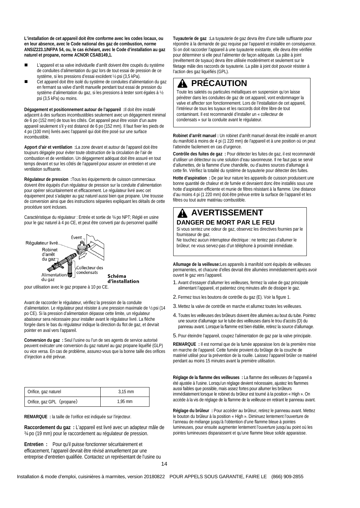**L'installation de cet appareil doit être conforme avec les codes locaux, ou en leur absence, avec le Code national des gaz de combustion, norme ANSIZ223.1/NFPA 54, ou, le cas échéant, avec le Code d'installation au gaz naturel et propane, norme ACNOR CSAB149,1.** 

- L'appareil et sa valve individuelle d'arrêt doivent être coupés du système de conduites d'alimentation du gaz lors de tout essai de pression de ce système, si les pressions d'essai excèdent ½ psi (3,5 kPa).
- Cet appareil doit être isolé du système de conduites d'alimentation du gaz en fermant sa valve d'arrêt manuelle pendant tout essai de pression du système d'alimentation du gaz, si les pressions à tester sont égales à ½ psi (3,5 kPa) ou moins.

**Dégagement et positionnement autour de l'appareil :**Il doit être installé adjacent à des surfaces incombustibles seulement avec un dégagement minimal de 6 po (152 mm) de tous les côtés. Cet appareil peut être voisin d'un autre appareil seulement s'il y est distancé de 6 po (152 mm). Il faut fixer les pieds de 4 po (100 mm) livrés avec l'appareil qui doit être posé sur une surface incombustible.

**Apport d'air et ventilation :**La zone devant et autour de l'appareil doit être toujours dégagée pour éviter toute obstruction de la circulation de l'air de combustion et de ventilation. Un dégagement adéquat doit être assuré en tout temps devant et sur les côtés de l'appareil pour assurer on entretien et une ventilation suffisante.

**Régulateur de pression :**Tous les équipements de cuisson commerciaux doivent être équipés d'un régulateur de pression sur la conduite d'alimentation pour opérer sécuritairement et efficacement. Le régulateur livré avec cet équipement peut s'adapter au gaz naturel aussi bien que propane. Une trousse de conversion ainsi que des instructions séparées expliquant les détails de cette procédure sont incluses.

Caractéristique du régulateur : Entrée et sortie de ¾ po NPT; Réglé en usine pour le gaz naturel à 4 po CE, et peut être converti par du personnel qualifié



pour utilisation avec le gaz propane à 10 po CE.

Avant de raccorder le régulateur, vérifiez la pression de la conduite d'alimentation. Le régulateur peut résister à une pression maximale de ½ psi (14 po CE). Si la pression d'alimentation dépasse cette limite, un régulateur abaisseur sera nécessaire pour installer avant le régulateur livré. La flèche forgée dans le bas du régulateur indique la direction du flot de gaz, et devrait pointer en aval vers l'appareil.

**Conversion du gaz :** Seul l'usine ou l'un de ses agents de service autorisé peuvent exécuter une conversion du gaz naturel au gaz propane liquéfié (GLP) ou vice versa. En cas de problème, assurez-vous que la bonne taille des orifices d'injection a été prévue.

| Orifice, gaz naturel       | $3.15$ mm |
|----------------------------|-----------|
| Orifice, gaz GPL (propane) | $1.95$ mm |

**REMARQUE :** la taille de l'orifice est indiquée sur l'injecteur.

**Raccordement du gaz :** L'appareil est livré avec un adapteur mâle de ¾ po (19 mm) pour le raccordement au régulateur de pression.

**Entretien :** Pour qu'il puisse fonctionner sécuritairement et efficacement, l'appareil devrait être révisé annuellement par une entreprise d'entretien qualifiée. Contactez un représentant de l'usine ou

14

**Tuyauterie de gaz :**La tuyauterie de gaz devra être d'une taille suffisante pour répondre à la demande de gaz requise par l'appareil et installée en conséquence. Si on doit raccorder l'appareil à une tuyauterie existante, elle devra être vérifiée pour déterminer si elle peut l'alimenter de façon adéquate. La pâte à joint (revêtement de tuyaux) devra être utilisée modérément et seulement sur le filetage mâle des raccords de tuyauterie. La pâte à joint doit pouvoir résister à l'action des gaz liquéfiés (GPL).

## **PRÉCAUTION**

Toute les saletés ou particules métalliques en suspension qu'on laisse pénétrer dans les conduites de gaz de cet appareil, vont endommager la valve et affecter son fonctionnement. Lors de l'installation de cet appareil, l'intérieur de tous les tuyaux et les raccords doit être libre de tout contaminant. Il est recommandé d'installer un « collecteur de condensats » sur la conduite avant le régulateur.

**Robinet d'arrêt manuel :** Un robinet d'arrêt manuel devrait être installé en amont du manifold à moins de 4 pi (1 220 mm) de l'appareil et à une position où on peut l'atteindre facilement en cas d'urgence.

**Contrôle des fuites de gaz :** Pour détecter les fuites de gaz, il est recommandé d'utiliser un détecteur ou une solution d'eau savonneuse. Il ne faut pas se servir d'allumettes, de la flamme d'une chandelle, ou d'autres sources d'allumage à cette fin. Vérifiez la totalité du système de tuyauterie pour détecter des fuites.

**Hotte d'aspiration :** De par leur nature les appareils de cuisson produisent une bonne quantité de chaleur et de fumée et devraient donc être installés sous une hotte d'aspiration efficiente et munie de filtres résistant à la flamme. Une distance d'au moins 4 pi (1 220 mm) doit être prévue entre la surface de l'appareil et les filtres ou tout autre matériau combustible.

### **AVERTISSEMENT DANGER DE MORT PAR LE FEU**

Si vous sentez une odeur de gaz, observez les directives fournies par le fournisseur de gaz.

Ne touchez aucun interrupteur électrique : ne tentez pas d'allumer le brûleur; ne vous servez-pas d'un téléphone à proximité immédiate.

**Allumage de la veilleuse:**Les appareils à manifold sont équipés de veilleuses permanentes, et chacune d'elles devrait être allumées immédiatement après avoir ouvert le gaz vers l'appareil.

- 1.Avant d'essayer d'allumer les veilleuses, fermez la valve de gaz principale alimentant l'appareil, et patientez cinq minutes afin de dissiper le gaz.
- 2.Fermez tous les boutons de contrôle du gaz (E). Voir la figure 1.
- 3.Mettez la valve de contrôle en marche et allumez toutes les veilleuses.
- 4. Toutes les veilleuses des brûleurs doivent être allumées au bout du tube. Pointez une source d'allumage sur le tube des veilleuses dans le trou d'accès (D) du panneau avant. Lorsque la flamme est bien établie, retirez la source d'allumage.
- 5.Pour éteindre l'appareil, coupez l'alimentation de gaz par la valve principale.

**REMARQUE :** Il est normal que de la fumée apparaisse lors de la première mise en marche de l'appareil. Cette fumée provient du brûlage de la couche de matériel utilisé pour la prévention de la rouille. Laissez l'appareil brûler ce matériel pendant au moins 15 minutes avant la première utilisation.

**Réglage de la flamme des veilleuses :** La flamme des veilleuses de l'appareil a été ajustée à l'usine. Lorsqu'un réglage devient nécessaire, ajustez les flammes aussi faibles que possible, mais assez fortes pour allumer les brûleurs immédiatement lorsque le robinet du brûleur est tourné à la position « High ». On accède à la vis de réglage de la flamme de la veilleuse en retirant le panneau avant.

**Réglage du brûleur :** Pour accéder au brûleur, retirez le panneau avant. Mettez le bouton du brûleur à la position « High ». Diminuez lentement l'ouverture de l'anneau de mélange jusqu'à l'obtention d'une flamme bleue à pointes lumineuses, pour ensuite augmenter lentement l'ouverture jusqu'au point où les pointes lumineuses disparaissent et qu'une flamme bleue solide apparaisse.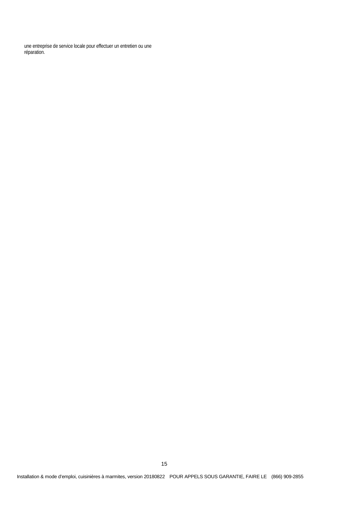une entreprise de service locale pour effectuer un entretien ou une réparation.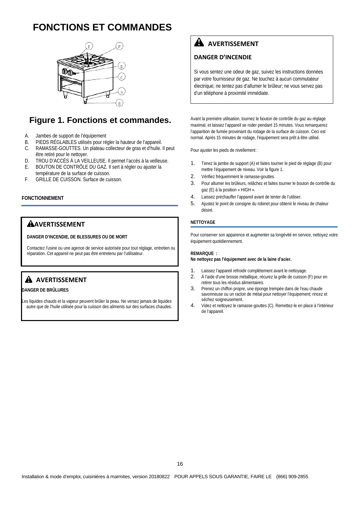## **FONCTIONS ET COMMANDES**



### **Figure 1. Fonctions et commandes.**

- A. Jambes de support de l'équipement
- B. PIEDS RÉGLABLES utilisés pour régler la hauteur de l'appareil.
- C. RAMASSE-GOUTTES. Un plateau collecteur de gras et d'huile. Il peut être retiré pour le nettoyer.
- D. TROU D'ACCÈS À LA VEILLEUSE. Il permet l'accès à la veilleuse.<br>E. BOUTON DE CONTRÔLE DU GAZ. Il sert à régler ou aiuster la
- E. BOUTON DE CONTRÔLE DU GAZ. Il sert à régler ou ajuster la température de la surface de cuisson.
- F. GRILLE DE CUISSON. Surface de cuisson.

### **FONCTIONNEMENT**

### **A**AVERTISSEMENT

**DANGER D'INCENDIE, DE BLESSURES OU DE MORT**

Contactez l'usine ou une agence de service autorisée pour tout réglage, entretien ou réparation. Cet appareil ne peut pas être entretenu par l'utilisateur.

### **A** AVERTISSEMENT

**DANGER DE BRÛLURES**

Les liquides chauds et la vapeur peuvent brûler la peau. Ne versez jamais de liquides autre que de l'huile utilisée pour la cuisson des aliments sur des surfaces chaudes.

### **A** AVERTISSEMENT

### **DANGER D'INCENDIE**

Si vous sentez une odeur de gaz, suivez les instructions données par votre fournisseur de gaz. Ne touchez à aucun commutateur électrique; ne tentez pas d'allumer le brûleur; ne vous servez pas d'un téléphone à proximité immédiate.

Avant la première utilisation, tournez le bouton de contrôle du gaz au réglage maximal, et laissez l'appareil se roder pendant 15 minutes. Vous remarquerez l'apparition de fumée provenant du rodage de la surface de cuisson. Ceci est normal. Après 15 minutes de rodage, l'équipement sera prêt à être utilisé.

Pour ajuster les pieds de nivellement :

- 1. Tenez la jambe de support (A) et faites tourner le pied de réglage (B) pour mettre l'équipement de niveau. Voir la figure 1.
- 2. Vérifiez fréquemment le ramasse-gouttes.
- 3. Pour allumer les brûleurs, relâchez et faites tourner le bouton de contrôle du gaz (E) à la position « HIGH ».
- 4. Laissez préchauffer l'appareil avant de tenter de l'utiliser.
- 5. Ajustez le point de consigne du robinet pour obtenir le niveau de chaleur désiré.

### **NETTOYAGE**

Pour conserver son apparence et augmenter sa longévité en service, nettoyez votre équipement quotidiennement.

#### **REMARQUE :**

**Ne nettoyez pas l'équipement avec de la laine d'acier.**

- Laissez l'appareil refroidir complètement avant le nettoyage.
- 2. À l'aide d'une brosse métallique, récurez la grille de cuisson (F) pour en retirer tous les résidus alimentaires.
- 3. Prenez un chiffon propre, une éponge trempée dans de l'eau chaude savonneuse ou un racloir de métal pour nettoyer l'équipement; rincez et séchez soigneusement.
- 4. Videz et nettoyez le ramasse-gouttes (C). Remettez-le en place à l'intérieur de l'appareil.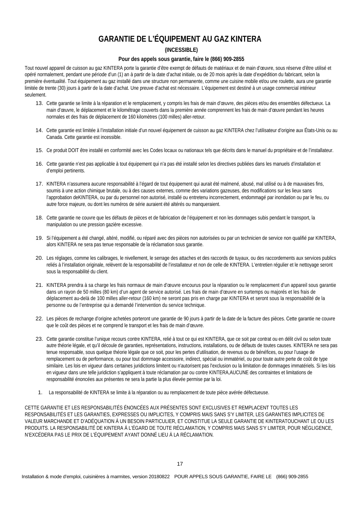## **GARANTIE DE L'ÉQUIPEMENT AU GAZ KINTERA**

### **(INCESSIBLE)**

### **Pour des appels sous garantie, faire le (866) 909-2855**

Tout nouvel appareil de cuisson au gaz KINTERA porte la garantie d'être exempt de défauts de matériaux et de main d'œuvre, sous réserve d'être utilisé et opéré normalement, pendant une période d'un (1) an à partir de la date d'achat initiale, ou de 20 mois après la date d'expédition du fabricant, selon la première éventualité. Tout équipement au gaz installé dans une structure non permanente, comme une cuisine mobile et/ou une roulette, aura une garantie limitée de trente (30) jours à partir de la date d'achat. Une preuve d'achat est nécessaire. L'équipement est destiné à un usage commercial intérieur seulement.

- 13. Cette garantie se limite à la réparation et le remplacement, y compris les frais de main d'œuvre, des pièces et/ou des ensembles défectueux. La main d'œuvre, le déplacement et le kilométrage couverts dans la première année comprennent les frais de main d'œuvre pendant les heures normales et des frais de déplacement de 160 kilomètres (100 milles) aller-retour.
- 14. Cette garantie est limitée à l'installation initiale d'un nouvel équipement de cuisson au gaz KINTERA chez l'utilisateur d'origine aux États-Unis ou au Canada. Cette garantie est incessible.
- 15. Ce produit DOIT être installé en conformité avec les Codes locaux ou nationaux tels que décrits dans le manuel du propriétaire et de l'installateur.
- 16. Cette garantie n'est pas applicable à tout équipement qui n'a pas été installé selon les directives publiées dans les manuels d'installation et d'emploi pertinents.
- 17. KINTERA n'assumera aucune responsabilité à l'égard de tout équipement qui aurait été malmené, abusé, mal utilisé ou à de mauvaises fins, soumis à une action chimique brutale, ou à des causes externes, comme des variations gazeuses, des modifications sur les lieux sans l'approbation deKINTERA, ou par du personnel non autorisé, installé ou entretenu incorrectement, endommagé par inondation ou par le feu, ou autre force majeure, ou dont les numéros de série auraient été altérés ou manqueraient.
- 18. Cette garantie ne couvre que les défauts de pièces et de fabrication de l'équipement et non les dommages subis pendant le transport, la manipulation ou une pression gazière excessive.
- 19. Si l'équipement a été changé, altéré, modifié, ou réparé avec des pièces non autorisées ou par un technicien de service non qualifié par KINTERA, alors KINTERA ne sera pas tenue responsable de la réclamation sous garantie.
- 20. Les réglages, comme les calibrages, le nivellement, le serrage des attaches et des raccords de tuyaux, ou des raccordements aux services publics reliés à l'installation originale, relèvent de la responsabilité de l'installateur et non de celle de KINTERA. L'entretien régulier et le nettoyage seront sous la responsabilité du client.
- 21. KINTERA prendra à sa charge les frais normaux de main d'œuvre encourus pour la réparation ou le remplacement d'un appareil sous garantie dans un rayon de 50 milles (80 km) d'un agent de service autorisé. Les frais de main d'œuvre en surtemps ou majorés et les frais de déplacement au-delà de 100 milles aller-retour (160 km) ne seront pas pris en charge par KINTERA et seront sous la responsabilité de la personne ou de l'entreprise qui a demandé l'intervention du service technique.
- 22. Les pièces de rechange d'origine achetées porteront une garantie de 90 jours à partir de la date de la facture des pièces. Cette garantie ne couvre que le coût des pièces et ne comprend le transport et les frais de main d'œuvre.
- 23. Cette garantie constitue l'unique recours contre KINTERA, relié à tout ce qui est KINTERA, que ce soit par contrat ou en délit civil ou selon toute autre théorie légale, et qu'il découle de garanties, représentations, instructions, installations, ou de défauts de toutes causes. KINTERA ne sera pas tenue responsable, sous quelque théorie légale que ce soit, pour les pertes d'utilisation, de revenus ou de bénéfices, ou pour l'usage de remplacement ou de performance, ou pour tout dommage accessoire, indirect, spécial ou immatériel, ou pour toute autre perte de coût de type similaire. Les lois en vigueur dans certaines juridictions limitent ou n'autorisent pas l'exclusion ou la limitation de dommages immatériels. Si les lois en vigueur dans une telle juridiction s'appliquent à toute réclamation par ou contre KINTERA,AUCUNE des contraintes et limitations de responsabilité énoncées aux présentes ne sera la partie la plus élevée permise par la loi.
- 1. La responsabilité de KINTERA se limite à la réparation ou au remplacement de toute pièce avérée défectueuse.

CETTE GARANTIE ET LES RESPONSABILITÉS ÉNONCÉES AUX PRÉSENTES SONT EXCLUSIVES ET REMPLACENT TOUTES LES RESPONSABILITÉS ET LES GARANTIES, EXPRESSES OU IMPLICITES, Y COMPRIS MAIS SANS S'Y LIMITER, LES GARANTIES IMPLICITES DE VALEUR MARCHANDE ET D'ADÉQUATION À UN BESOIN PARTICULIER, ET CONSTITUE LA SEULE GARANTIE DE KINTERATOUCHANT LE OU LES PRODUITS. LA RESPONSABILITÉ DE KINTERA À L'ÉGARD DE TOUTE RÉCLAMATION, Y COMPRIS MAIS SANS S'Y LIMITER, POUR NÉGLIGENCE, N'EXCÉDERA PAS LE PRIX DE L'ÉQUIPEMENT AYANT DONNÉ LIEU À LA RÉCLAMATION.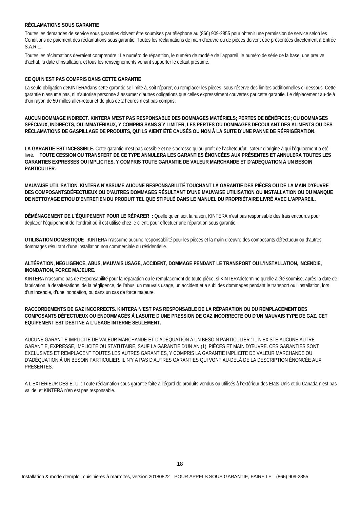### **RÉCLAMATIONS SOUS GARANTIE**

Toutes les demandes de service sous garanties doivent être soumises par téléphone au (866) 909-2855 pour obtenir une permission de service selon les Conditions de paiement des réclamations sous garantie. Toutes les réclamations de main d'œuvre ou de pièces doivent être présentées directement à Entrée S.A.R.L.

Toutes les réclamations devraient comprendre : Le numéro de répartition, le numéro de modèle de l'appareil, le numéro de série de la base, une preuve d'achat, la date d'installation, et tous les renseignements venant supporter le défaut présumé.

### **CE QUI N'EST PAS COMPRIS DANS CETTE GARANTIE**

La seule obligation deKINTERAdans cette garantie se limite à, soit réparer, ou remplacer les pièces, sous réserve des limites additionnelles ci-dessous. Cette garantie n'assume pas, ni n'autorise personne à assumer d'autres obligations que celles expressément couvertes par cette garantie. Le déplacement au-delà d'un rayon de 50 milles aller-retour et de plus de 2 heures n'est pas compris.

**AUCUN DOMMAGE INDIRECT. KINTERA N'EST PAS RESPONSABLE DES DOMMAGES MATÉRIELS; PERTES DE BÉNÉFICES; OU DOMMAGES SPÉCIAUX, INDIRECTS, OU IMMATÉRIAUX, Y COMPRIS SANS S'Y LIMITER, LES PERTES OU DOMMAGES DÉCOULANT DES ALIMENTS OU DES RÉCLAMATIONS DE GASPILLAGE DE PRODUITS, QU'ILS AIENT ÉTÉ CAUSÉS OU NON À LA SUITE D'UNE PANNE DE RÉFRIGÉRATION.**

**LA GARANTIE EST INCESSIBLE.** Cette garantie n'est pas cessible et ne s'adresse qu'au profit de l'acheteur/utilisateur d'origine à qui l'équipement a été livré. **TOUTE CESSION OU TRANSFERT DE CE TYPE ANNULERA LES GARANTIES ÉNONCÉES AUX PRÉSENTES ET ANNULERA TOUTES LES GARANTIES EXPRESSES OU IMPLICITES, Y COMPRIS TOUTE GARANTIE DE VALEUR MARCHANDE ET D'ADÉQUATION À UN BESOIN PARTICULIER.**

**MAUVAISE UTILISATION. KINTERA N'ASSUME AUCUNE RESPONSABILITÉ TOUCHANT LA GARANTIE DES PIÈCES OU DE LA MAIN D'ŒUVRE DES COMPOSANTSDÉFECTUEUX OU D'AUTRES DOMMAGES RÉSULTANT D'UNE MAUVAISE UTILISATION OU INSTALLATION OU DU MANQUE DE NETTOYAGE ET/OU D'ENTRETIEN DU PRODUIT TEL QUE STIPULÉ DANS LE MANUEL DU PROPRIÉTAIRE LIVRÉ AVEC L'APPAREIL.** 

**DÉMÉNAGEMENT DE L'ÉQUIPEMENT POUR LE RÉPARER :** Quelle qu'en soit la raison, KINTERA n'est pas responsable des frais encourus pour déplacer l'équipement de l'endroit où il est utilisé chez le client, pour effectuer une réparation sous garantie.

**UTILISATION DOMESTIQUE :**KINTERA n'assume aucune responsabilité pour les pièces et la main d'œuvre des composants défectueux ou d'autres dommages résultant d'une installation non commerciale ou résidentielle.

### **ALTÉRATION, NÉGLIGENCE, ABUS, MAUVAIS USAGE, ACCIDENT, DOMMAGE PENDANT LE TRANSPORT OU L'INSTALLATION, INCENDIE, INONDATION, FORCE MAJEURE.**

KINTERA n'assume pas de responsabilité pour la réparation ou le remplacement de toute pièce, si KINTERAdétermine qu'elle a été soumise, après la date de fabrication, à desaltérations, de la négligence, de l'abus, un mauvais usage, un accident,et a subi des dommages pendant le transport ou l'installation, lors d'un incendie, d'une inondation, ou dans un cas de force majeure.

### **RACCORDEMENTS DE GAZ INCORRECTS. KINTERA N'EST PAS RESPONSABLE DE LA RÉPARATION OU DU REMPLACEMENT DES COMPOSANTS DÉFECTUEUX OU ENDOMMAGÉS À LASUITE D'UNE PRESSION DE GAZ INCORRECTE OU D'UN MAUVAIS TYPE DE GAZ. CET ÉQUIPEMENT EST DESTINÉ À L'USAGE INTERNE SEULEMENT.**

AUCUNE GARANTIE IMPLICITE DE VALEUR MARCHANDE ET D'ADÉQUATION À UN BESOIN PARTICULIER : IL N'EXISTE AUCUNE AUTRE GARANTIE, EXPRESSE, IMPLICITE OU STATUTAIRE, SAUF LA GARANTIE D'UN AN (1), PIÈCES ET MAIN D'ŒUVRE. CES GARANTIES SONT EXCLUSIVES ET REMPLACENT TOUTES LES AUTRES GARANTIES, Y COMPRIS LA GARANTIE IMPLICITE DE VALEUR MARCHANDE OU D'ADÉQUATION À UN BESOIN PARTICULIER. IL N'Y A PAS D'AUTRES GARANTIES QUI VONT AU-DELÀ DE LA DESCRIPTION ÉNONCÉE AUX PRÉSENTES.

À L'EXTÉRIEUR DES É.-U. : Toute réclamation sous garantie faite à l'égard de produits vendus ou utilisés à l'extérieur des États-Unis et du Canada n'est pas valide, et KINTERA n'en est pas responsable.